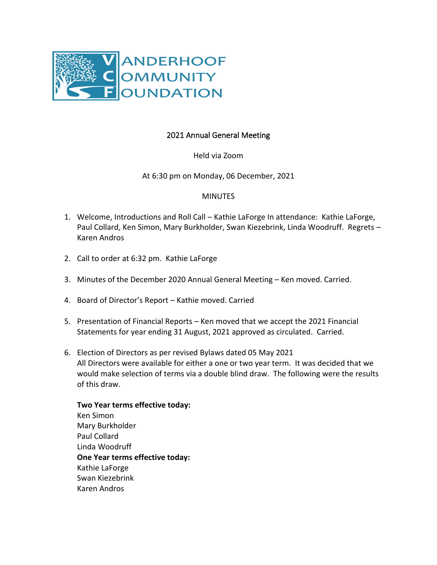

## 2021 Annual General Meeting

Held via Zoom

At 6:30 pm on Monday, 06 December, 2021

## **MINUTES**

- 1. Welcome, Introductions and Roll Call Kathie LaForge In attendance: Kathie LaForge, Paul Collard, Ken Simon, Mary Burkholder, Swan Kiezebrink, Linda Woodruff. Regrets – Karen Andros
- 2. Call to order at 6:32 pm. Kathie LaForge
- 3. Minutes of the December 2020 Annual General Meeting Ken moved. Carried.
- 4. Board of Director's Report Kathie moved. Carried
- 5. Presentation of Financial Reports Ken moved that we accept the 2021 Financial Statements for year ending 31 August, 2021 approved as circulated. Carried.
- 6. Election of Directors as per revised Bylaws dated 05 May 2021 All Directors were available for either a one or two year term. It was decided that we would make selection of terms via a double blind draw. The following were the results of this draw.
	- **Two Year terms effective today:** Ken Simon Mary Burkholder Paul Collard Linda Woodruff **One Year terms effective today:** Kathie LaForge Swan Kiezebrink Karen Andros